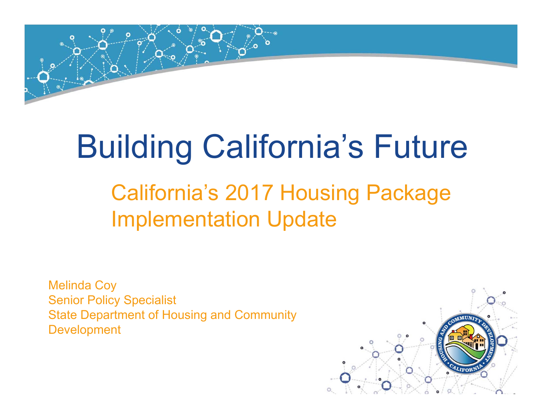

# Building California's Future

## California's 2017 Housing Package Implementation Update

Melinda Coy Senior Policy Specialist State Department of Housing and Community Development

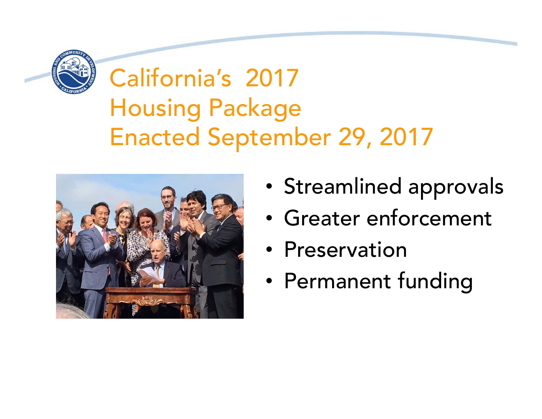

# California's 2017 Housing Package Enacted September 29, 2017



- $\epsilon$ •• Streamlined approvals
	- Greater enforcement
- Preservation Preservation
- Permanent fun Permanent funding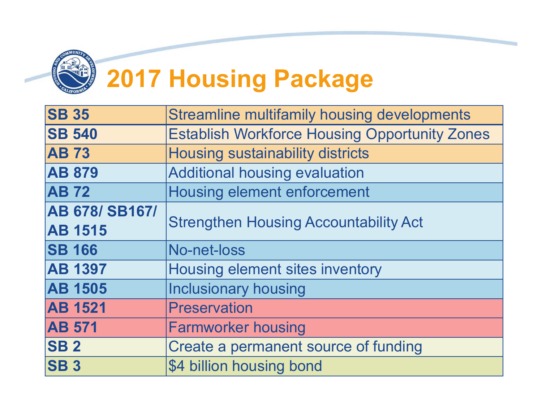

# **2017 Housing Package**

| <b>Streamline multifamily housing developments</b>   |  |  |  |  |  |  |  |  |  |  |
|------------------------------------------------------|--|--|--|--|--|--|--|--|--|--|
| <b>Establish Workforce Housing Opportunity Zones</b> |  |  |  |  |  |  |  |  |  |  |
| <b>Housing sustainability districts</b>              |  |  |  |  |  |  |  |  |  |  |
| <b>Additional housing evaluation</b>                 |  |  |  |  |  |  |  |  |  |  |
| <b>Housing element enforcement</b>                   |  |  |  |  |  |  |  |  |  |  |
|                                                      |  |  |  |  |  |  |  |  |  |  |
| <b>Strengthen Housing Accountability Act</b>         |  |  |  |  |  |  |  |  |  |  |
| No-net-loss                                          |  |  |  |  |  |  |  |  |  |  |
| <b>Housing element sites inventory</b>               |  |  |  |  |  |  |  |  |  |  |
| <b>Inclusionary housing</b>                          |  |  |  |  |  |  |  |  |  |  |
| <b>Preservation</b>                                  |  |  |  |  |  |  |  |  |  |  |
| <b>Farmworker housing</b>                            |  |  |  |  |  |  |  |  |  |  |
| Create a permanent source of funding                 |  |  |  |  |  |  |  |  |  |  |
| \$4 billion housing bond                             |  |  |  |  |  |  |  |  |  |  |
|                                                      |  |  |  |  |  |  |  |  |  |  |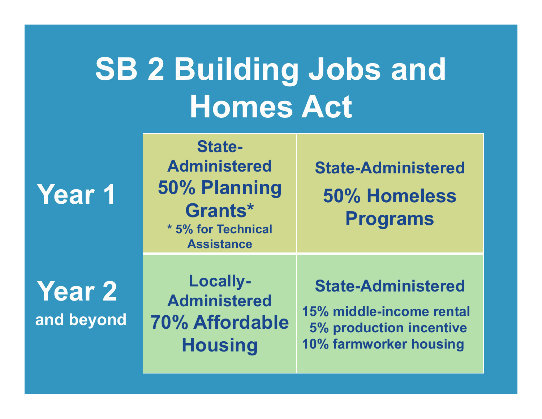# **SB 2 Building Jobs and Homes Act**

**Year 1**

**Year 2 and beyond**

**State-Administered50% Planning Grants\*\* 5% for Technical Assistance**

**State-Administered50% Homeless Programs**

**Locally-Administered70% Affordable Housing**

#### **State-Administered**

**15% middle-income rental 5% production incentive 10% farmworker housing**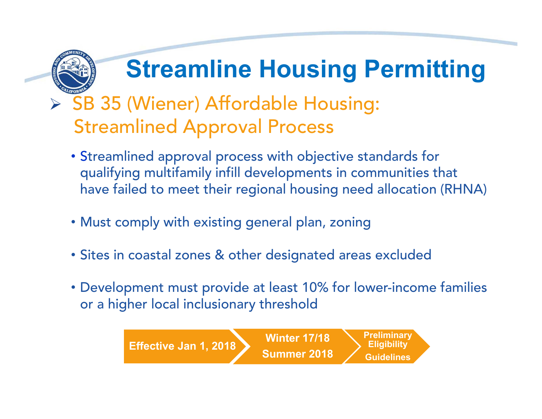# **Streamline Housing Permitting**

#### > SB 35 (Wiener) Affordable Housing: Streamlined Approval Process

- Streamlined approval process with objective standards for qualifying multifamily infill developments in communities that have failed to meet their regional housing need allocation (RHNA)
- Must comply with existing general plan, zoning
- Sites in coastal zones & other designated areas excluded
- Development must provide at least 10% for lower-income families or a higher local inclusionary threshold

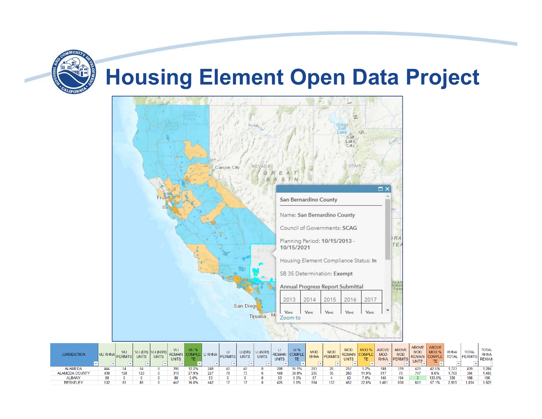#### **Housing Element Open Data Project**



| <b>JURISDICTION</b>   | <b>VLI RHNAI.</b> | VLI<br><b>PERMITS</b> | <b>UNITS</b> | <b>UNITS</b> | <b>UNITS</b> | <b>VLI %</b> | <b>PERMITS</b> | LI (DR<br><b>UNITS</b> | LI (NDR)<br><b>UNITS</b> | <b>UNITS</b> | LI%<br>0010<br>TE | <b>MOD</b><br><b>RHNA</b> | <b>MOD</b><br><b>IPERMITS</b> | <b>MOD</b><br><b>RFMAI</b><br><b>UNITS</b> | TE.   | <b>ABOVE</b><br><b>MOL</b><br><b>RHNA</b> | <b>ABOVE</b><br><b>MOD</b><br><b>IPERMITS</b> | <b>ABOVE</b><br><b>MOD</b><br><b>REMAIN</b><br>UNITS- | <b>ABOVE</b><br>MOD <sub>9</sub><br><b>TE</b> | <b>RHNA</b><br><b>TOTAL</b> | <b>TOTAL</b><br>PERMI <sub>1</sub> | <b>TOTAL</b><br><b>RHN/</b><br><b>REMAI</b> |
|-----------------------|-------------------|-----------------------|--------------|--------------|--------------|--------------|----------------|------------------------|--------------------------|--------------|-------------------|---------------------------|-------------------------------|--------------------------------------------|-------|-------------------------------------------|-----------------------------------------------|-------------------------------------------------------|-----------------------------------------------|-----------------------------|------------------------------------|---------------------------------------------|
| <b>ALAMEDA</b>        | 444               |                       |              |              |              | 12.2%        |                |                        |                          |              |                   | 283                       |                               |                                            | 1.2%  | 748                                       | 319                                           | 429                                                   | 42.6%                                         | ,723                        |                                    | 1.284                                       |
| <b>ALAMEDA COUNTY</b> |                   | 120                   |              |              |              | 27.9%        |                |                        |                          |              | 34.8%             | 295                       |                               | 260                                        |       |                                           |                                               | 747                                                   | 8.6%                                          | 769                         |                                    | 1.465                                       |
| <b>ALBANY</b>         |                   |                       |              |              | 80           | 0.0%         |                |                        |                          |              |                   |                           |                               |                                            |       | 145                                       |                                               |                                                       |                                               | 335                         |                                    | 186                                         |
| <b>BERKELEY</b>       | 532               |                       |              |              |              | 16.0%        |                |                        |                          |              | 3.8%              |                           |                               | 452                                        | 22.6% | .401                                      |                                               | 601                                                   | 57 1%                                         | 2.959                       | .034                               | 1.925                                       |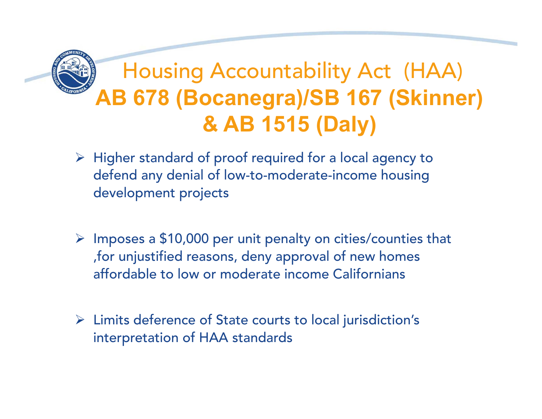## Housing Accountability Act (HAA) **AB 678 (Bocanegra)/SB 167 (Skinner) & AB 1515 (Daly)**

- $\triangleright$  Higher standard of proof required for a local agency to defend any denial of low-to-moderate-income housing development projects
- $\triangleright$  Imposes a \$10,000 per unit penalty on cities/counties that ,for unjustified reasons, deny approval of new homes affordable to low or moderate income Californians
- Limits deference of State courts to local jurisdiction's interpretation of HAA standards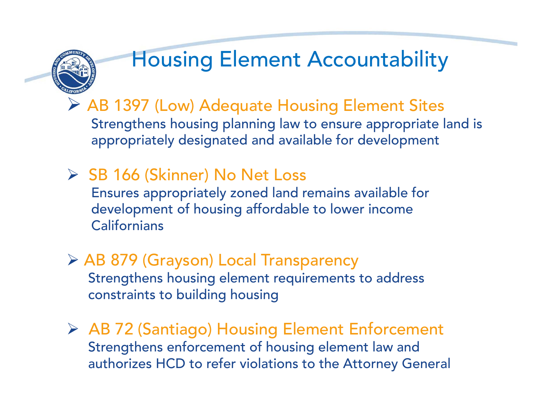

## Housing Element Accountability

 AB 1397 (Low) Adequate Housing Element Sites Strengthens housing planning law to ensure appropriate land is appropriately designated and available for development

- **▶ SB 166 (Skinner) No Net Loss** Ensures appropriately zoned land remains available for development of housing affordable to lower income **Californians**
- AB 879 (Grayson) Local Transparency Strengthens housing element requirements to address constraints to building housing
- AB 72 (Santiago) Housing Element Enforcement Strengthens enforcement of housing element law and authorizes HCD to refer violations to the Attorney General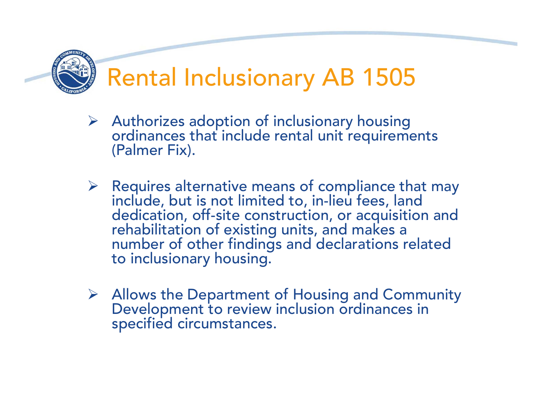

- Authorizes adoption of inclusionary housing ordinances that include rental unit requirements (Palmer Fix).
- $\triangleright$  Requires alternative means of compliance that may include, but is not limited to, in-lieu fees, land dedication, off-site construction, or acquisition and rehabilitation of existing units, and makes a number of other findings and declarations related to inclusionary housing.
- Allows the Department of Housing and Community Development to review inclusion ordinances in specified circumstances.